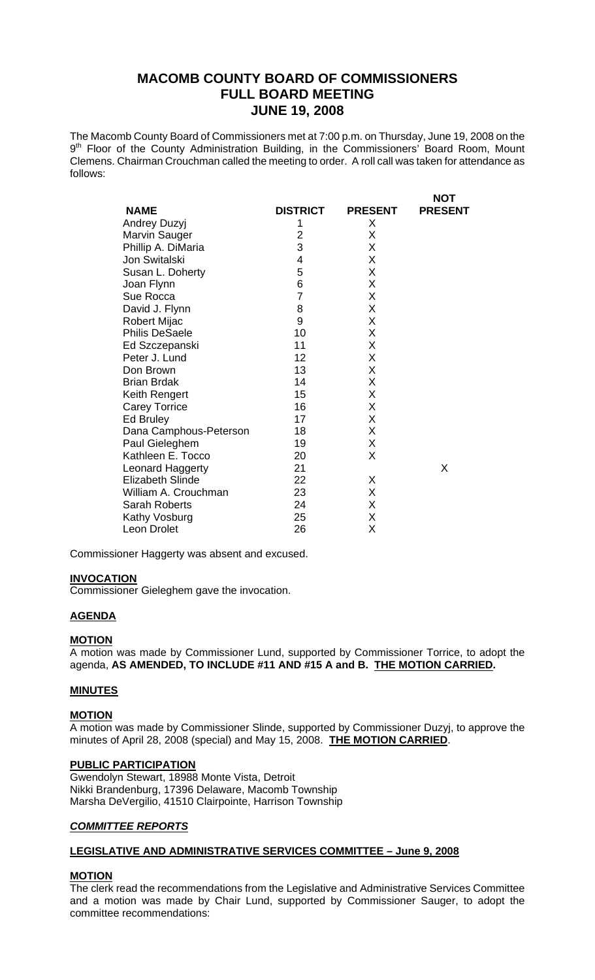# **MACOMB COUNTY BOARD OF COMMISSIONERS FULL BOARD MEETING JUNE 19, 2008**

The Macomb County Board of Commissioners met at 7:00 p.m. on Thursday, June 19, 2008 on the 9<sup>th</sup> Floor of the County Administration Building, in the Commissioners' Board Room, Mount Clemens. Chairman Crouchman called the meeting to order. A roll call was taken for attendance as follows:

 $\ddot{\mathbf{v}}$ 

|    |                                                                              | <b>NO I</b>                                       |
|----|------------------------------------------------------------------------------|---------------------------------------------------|
|    |                                                                              | <b>PRESENT</b>                                    |
|    |                                                                              |                                                   |
|    |                                                                              |                                                   |
|    |                                                                              |                                                   |
|    |                                                                              |                                                   |
|    |                                                                              |                                                   |
|    |                                                                              |                                                   |
|    |                                                                              |                                                   |
| 8  | Χ                                                                            |                                                   |
| 9  | X                                                                            |                                                   |
| 10 | Χ                                                                            |                                                   |
| 11 | X                                                                            |                                                   |
| 12 | X                                                                            |                                                   |
| 13 | X                                                                            |                                                   |
| 14 | X                                                                            |                                                   |
| 15 | X                                                                            |                                                   |
| 16 | Χ                                                                            |                                                   |
| 17 | X                                                                            |                                                   |
| 18 | X                                                                            |                                                   |
| 19 | X                                                                            |                                                   |
| 20 | X                                                                            |                                                   |
| 21 |                                                                              | X                                                 |
| 22 | Χ                                                                            |                                                   |
| 23 | X                                                                            |                                                   |
| 24 | X                                                                            |                                                   |
| 25 | X                                                                            |                                                   |
| 26 | X                                                                            |                                                   |
|    | <b>DISTRICT</b><br>1<br>$\overline{2}$<br>3<br>4<br>5<br>6<br>$\overline{7}$ | <b>PRESENT</b><br>X<br>X<br>X<br>Χ<br>X<br>X<br>Χ |

Commissioner Haggerty was absent and excused.

### **INVOCATION**

Commissioner Gieleghem gave the invocation.

## **AGENDA**

## **MOTION**

A motion was made by Commissioner Lund, supported by Commissioner Torrice, to adopt the agenda, **AS AMENDED, TO INCLUDE #11 AND #15 A and B. THE MOTION CARRIED.** 

#### **MINUTES**

#### **MOTION**

A motion was made by Commissioner Slinde, supported by Commissioner Duzyj, to approve the minutes of April 28, 2008 (special) and May 15, 2008. **THE MOTION CARRIED**.

### **PUBLIC PARTICIPATION**

Gwendolyn Stewart, 18988 Monte Vista, Detroit Nikki Brandenburg, 17396 Delaware, Macomb Township Marsha DeVergilio, 41510 Clairpointe, Harrison Township

#### *COMMITTEE REPORTS*

#### **LEGISLATIVE AND ADMINISTRATIVE SERVICES COMMITTEE – June 9, 2008**

## **MOTION**

The clerk read the recommendations from the Legislative and Administrative Services Committee and a motion was made by Chair Lund, supported by Commissioner Sauger, to adopt the committee recommendations: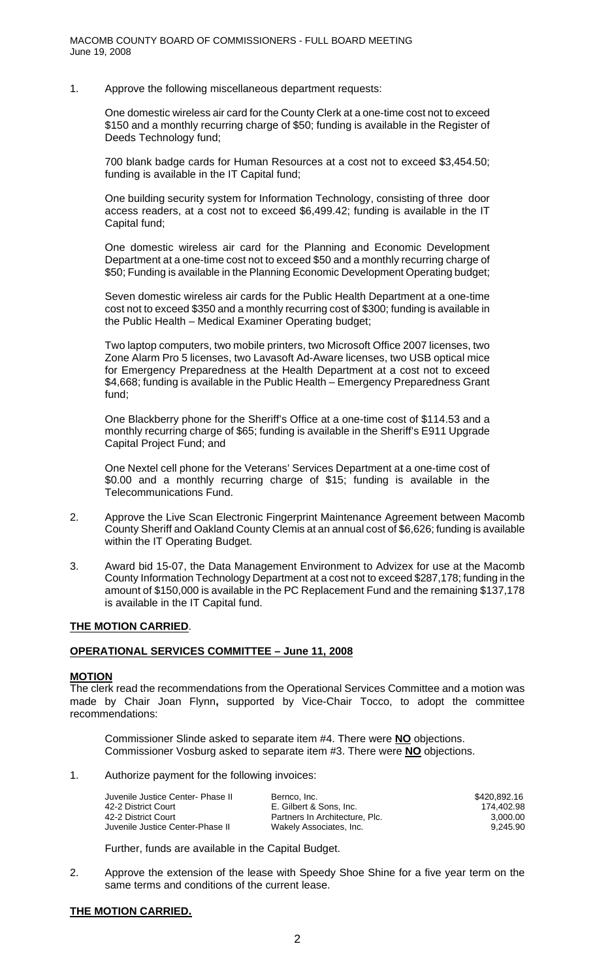1. Approve the following miscellaneous department requests:

One domestic wireless air card for the County Clerk at a one-time cost not to exceed \$150 and a monthly recurring charge of \$50; funding is available in the Register of Deeds Technology fund;

700 blank badge cards for Human Resources at a cost not to exceed \$3,454.50; funding is available in the IT Capital fund;

One building security system for Information Technology, consisting of three door access readers, at a cost not to exceed \$6,499.42; funding is available in the IT Capital fund;

One domestic wireless air card for the Planning and Economic Development Department at a one-time cost not to exceed \$50 and a monthly recurring charge of \$50; Funding is available in the Planning Economic Development Operating budget;

Seven domestic wireless air cards for the Public Health Department at a one-time cost not to exceed \$350 and a monthly recurring cost of \$300; funding is available in the Public Health – Medical Examiner Operating budget;

Two laptop computers, two mobile printers, two Microsoft Office 2007 licenses, two Zone Alarm Pro 5 licenses, two Lavasoft Ad-Aware licenses, two USB optical mice for Emergency Preparedness at the Health Department at a cost not to exceed \$4,668; funding is available in the Public Health – Emergency Preparedness Grant fund;

One Blackberry phone for the Sheriff's Office at a one-time cost of \$114.53 and a monthly recurring charge of \$65; funding is available in the Sheriff's E911 Upgrade Capital Project Fund; and

One Nextel cell phone for the Veterans' Services Department at a one-time cost of \$0.00 and a monthly recurring charge of \$15; funding is available in the Telecommunications Fund.

- 2. Approve the Live Scan Electronic Fingerprint Maintenance Agreement between Macomb County Sheriff and Oakland County Clemis at an annual cost of \$6,626; funding is available within the IT Operating Budget.
- 3. Award bid 15-07, the Data Management Environment to Advizex for use at the Macomb County Information Technology Department at a cost not to exceed \$287,178; funding in the amount of \$150,000 is available in the PC Replacement Fund and the remaining \$137,178 is available in the IT Capital fund.

#### **THE MOTION CARRIED**.

#### **OPERATIONAL SERVICES COMMITTEE – June 11, 2008**

#### **MOTION**

The clerk read the recommendations from the Operational Services Committee and a motion was made by Chair Joan Flynn**,** supported by Vice-Chair Tocco, to adopt the committee recommendations:

 Commissioner Slinde asked to separate item #4. There were **NO** objections. Commissioner Vosburg asked to separate item #3. There were **NO** objections.

1. Authorize payment for the following invoices:

| Juvenile Justice Center- Phase II | Bernco, Inc.                   | \$420.892.16 |
|-----------------------------------|--------------------------------|--------------|
| 42-2 District Court               | E. Gilbert & Sons. Inc.        | 174.402.98   |
| 42-2 District Court               | Partners In Architecture, Plc. | 3.000.00     |
| Juvenile Justice Center-Phase II  | Wakely Associates, Inc.        | 9.245.90     |

Further, funds are available in the Capital Budget.

2. Approve the extension of the lease with Speedy Shoe Shine for a five year term on the same terms and conditions of the current lease.

#### **THE MOTION CARRIED.**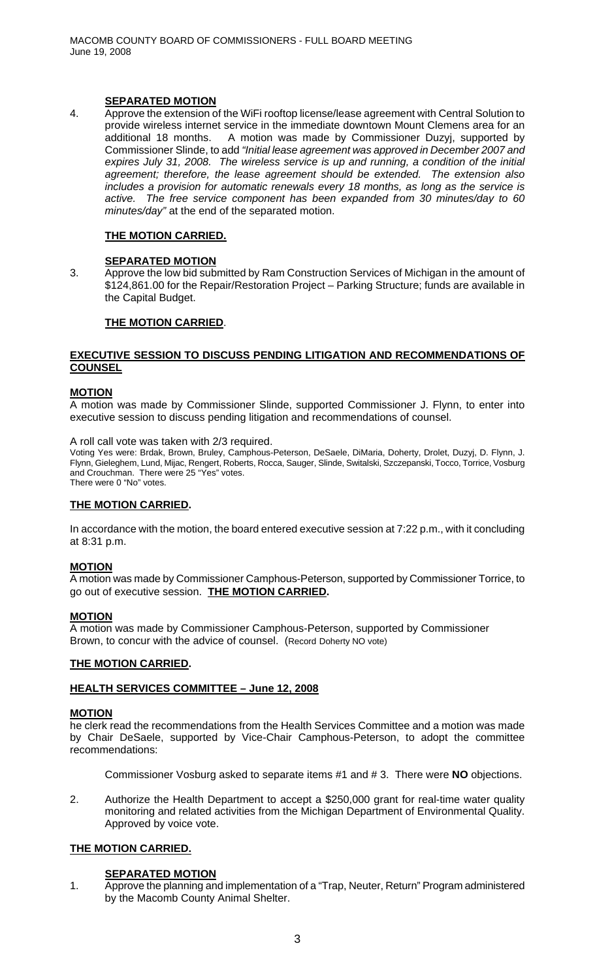### **SEPARATED MOTION**

4. Approve the extension of the WiFi rooftop license/lease agreement with Central Solution to provide wireless internet service in the immediate downtown Mount Clemens area for an additional 18 months. A motion was made by Commissioner Duzyj, supported by Commissioner Slinde, to add *"Initial lease agreement was approved in December 2007 and expires July 31, 2008. The wireless service is up and running, a condition of the initial agreement; therefore, the lease agreement should be extended. The extension also includes a provision for automatic renewals every 18 months, as long as the service is active. The free service component has been expanded from 30 minutes/day to 60 minutes/day"* at the end of the separated motion.

## **THE MOTION CARRIED.**

### **SEPARATED MOTION**

3. Approve the low bid submitted by Ram Construction Services of Michigan in the amount of \$124,861.00 for the Repair/Restoration Project – Parking Structure; funds are available in the Capital Budget.

### **THE MOTION CARRIED**.

### **EXECUTIVE SESSION TO DISCUSS PENDING LITIGATION AND RECOMMENDATIONS OF COUNSEL**

#### **MOTION**

A motion was made by Commissioner Slinde, supported Commissioner J. Flynn, to enter into executive session to discuss pending litigation and recommendations of counsel.

#### A roll call vote was taken with 2/3 required.

Voting Yes were: Brdak, Brown, Bruley, Camphous-Peterson, DeSaele, DiMaria, Doherty, Drolet, Duzyj, D. Flynn, J. Flynn, Gieleghem, Lund, Mijac, Rengert, Roberts, Rocca, Sauger, Slinde, Switalski, Szczepanski, Tocco, Torrice, Vosburg and Crouchman. There were 25 "Yes" votes.

There were 0 "No" votes.

#### **THE MOTION CARRIED.**

In accordance with the motion, the board entered executive session at 7:22 p.m., with it concluding at 8:31 p.m.

#### **MOTION**

A motion was made by Commissioner Camphous-Peterson, supported by Commissioner Torrice, to go out of executive session. **THE MOTION CARRIED.** 

#### **MOTION**

A motion was made by Commissioner Camphous-Peterson, supported by Commissioner Brown, to concur with the advice of counsel. (Record Doherty NO vote)

#### **THE MOTION CARRIED.**

#### **HEALTH SERVICES COMMITTEE – June 12, 2008**

#### **MOTION**

he clerk read the recommendations from the Health Services Committee and a motion was made by Chair DeSaele, supported by Vice-Chair Camphous-Peterson, to adopt the committee recommendations:

Commissioner Vosburg asked to separate items #1 and # 3. There were **NO** objections.

2. Authorize the Health Department to accept a \$250,000 grant for real-time water quality monitoring and related activities from the Michigan Department of Environmental Quality. Approved by voice vote.

## **THE MOTION CARRIED.**

## **SEPARATED MOTION**

1. Approve the planning and implementation of a "Trap, Neuter, Return" Program administered by the Macomb County Animal Shelter.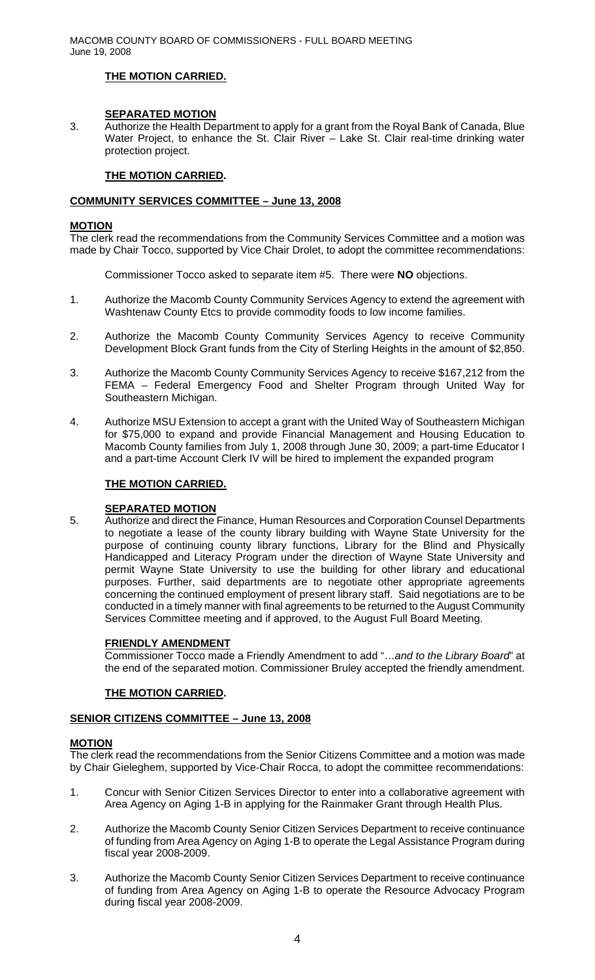# **THE MOTION CARRIED.**

## **SEPARATED MOTION**

3. Authorize the Health Department to apply for a grant from the Royal Bank of Canada, Blue Water Project, to enhance the St. Clair River – Lake St. Clair real-time drinking water protection project.

## **THE MOTION CARRIED.**

## **COMMUNITY SERVICES COMMITTEE – June 13, 2008**

## **MOTION**

The clerk read the recommendations from the Community Services Committee and a motion was made by Chair Tocco, supported by Vice Chair Drolet, to adopt the committee recommendations:

Commissioner Tocco asked to separate item #5. There were **NO** objections.

- 1. Authorize the Macomb County Community Services Agency to extend the agreement with Washtenaw County Etcs to provide commodity foods to low income families.
- 2. Authorize the Macomb County Community Services Agency to receive Community Development Block Grant funds from the City of Sterling Heights in the amount of \$2,850.
- 3. Authorize the Macomb County Community Services Agency to receive \$167,212 from the FEMA – Federal Emergency Food and Shelter Program through United Way for Southeastern Michigan.
- 4. Authorize MSU Extension to accept a grant with the United Way of Southeastern Michigan for \$75,000 to expand and provide Financial Management and Housing Education to Macomb County families from July 1, 2008 through June 30, 2009; a part-time Educator I and a part-time Account Clerk IV will be hired to implement the expanded program

## **THE MOTION CARRIED.**

## **SEPARATED MOTION**

5. Authorize and direct the Finance, Human Resources and Corporation Counsel Departments to negotiate a lease of the county library building with Wayne State University for the purpose of continuing county library functions, Library for the Blind and Physically Handicapped and Literacy Program under the direction of Wayne State University and permit Wayne State University to use the building for other library and educational purposes. Further, said departments are to negotiate other appropriate agreements concerning the continued employment of present library staff. Said negotiations are to be conducted in a timely manner with final agreements to be returned to the August Community Services Committee meeting and if approved, to the August Full Board Meeting.

## **FRIENDLY AMENDMENT**

Commissioner Tocco made a Friendly Amendment to add "…*and to the Library Board*" at the end of the separated motion. Commissioner Bruley accepted the friendly amendment.

## **THE MOTION CARRIED.**

## **SENIOR CITIZENS COMMITTEE – June 13, 2008**

## **MOTION**

The clerk read the recommendations from the Senior Citizens Committee and a motion was made by Chair Gieleghem, supported by Vice-Chair Rocca, to adopt the committee recommendations:

- 1. Concur with Senior Citizen Services Director to enter into a collaborative agreement with Area Agency on Aging 1-B in applying for the Rainmaker Grant through Health Plus.
- 2. Authorize the Macomb County Senior Citizen Services Department to receive continuance of funding from Area Agency on Aging 1-B to operate the Legal Assistance Program during fiscal year 2008-2009.
- 3. Authorize the Macomb County Senior Citizen Services Department to receive continuance of funding from Area Agency on Aging 1-B to operate the Resource Advocacy Program during fiscal year 2008-2009.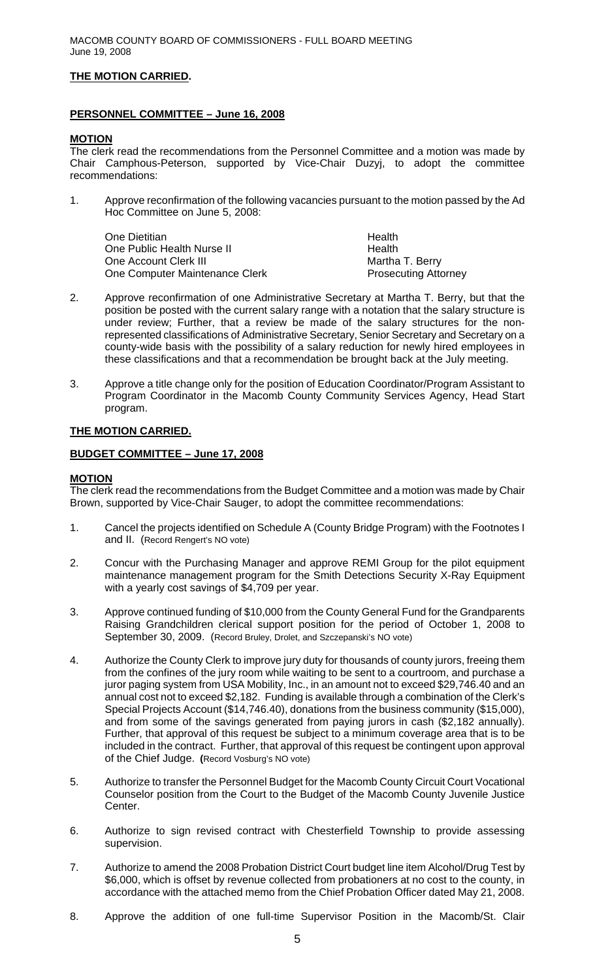## **THE MOTION CARRIED.**

### **PERSONNEL COMMITTEE – June 16, 2008**

### **MOTION**

The clerk read the recommendations from the Personnel Committee and a motion was made by Chair Camphous-Peterson, supported by Vice-Chair Duzyj, to adopt the committee recommendations:

1. Approve reconfirmation of the following vacancies pursuant to the motion passed by the Ad Hoc Committee on June 5, 2008:

One Dietitian Health One Public Health Nurse II **Health** Health One Account Clerk III Martha T. Berry One Computer Maintenance Clerk **Prosecuting Attorney** 

- 2. Approve reconfirmation of one Administrative Secretary at Martha T. Berry, but that the position be posted with the current salary range with a notation that the salary structure is under review; Further, that a review be made of the salary structures for the nonrepresented classifications of Administrative Secretary, Senior Secretary and Secretary on a county-wide basis with the possibility of a salary reduction for newly hired employees in these classifications and that a recommendation be brought back at the July meeting.
- 3. Approve a title change only for the position of Education Coordinator/Program Assistant to Program Coordinator in the Macomb County Community Services Agency, Head Start program.

## **THE MOTION CARRIED.**

### **BUDGET COMMITTEE – June 17, 2008**

### **MOTION**

The clerk read the recommendations from the Budget Committee and a motion was made by Chair Brown, supported by Vice-Chair Sauger, to adopt the committee recommendations:

- 1. Cancel the projects identified on Schedule A (County Bridge Program) with the Footnotes I and II. (Record Rengert's NO vote)
- 2. Concur with the Purchasing Manager and approve REMI Group for the pilot equipment maintenance management program for the Smith Detections Security X-Ray Equipment with a yearly cost savings of \$4,709 per year.
- 3. Approve continued funding of \$10,000 from the County General Fund for the Grandparents Raising Grandchildren clerical support position for the period of October 1, 2008 to September 30, 2009. (Record Bruley, Drolet, and Szczepanski's NO vote)
- 4. Authorize the County Clerk to improve jury duty for thousands of county jurors, freeing them from the confines of the jury room while waiting to be sent to a courtroom, and purchase a juror paging system from USA Mobility, Inc., in an amount not to exceed \$29,746.40 and an annual cost not to exceed \$2,182. Funding is available through a combination of the Clerk's Special Projects Account (\$14,746.40), donations from the business community (\$15,000), and from some of the savings generated from paying jurors in cash (\$2,182 annually). Further, that approval of this request be subject to a minimum coverage area that is to be included in the contract. Further, that approval of this request be contingent upon approval of the Chief Judge. **(**Record Vosburg's NO vote)
- 5. Authorize to transfer the Personnel Budget for the Macomb County Circuit Court Vocational Counselor position from the Court to the Budget of the Macomb County Juvenile Justice Center.
- 6. Authorize to sign revised contract with Chesterfield Township to provide assessing supervision.
- 7. Authorize to amend the 2008 Probation District Court budget line item Alcohol/Drug Test by \$6,000, which is offset by revenue collected from probationers at no cost to the county, in accordance with the attached memo from the Chief Probation Officer dated May 21, 2008.
- 8. Approve the addition of one full-time Supervisor Position in the Macomb/St. Clair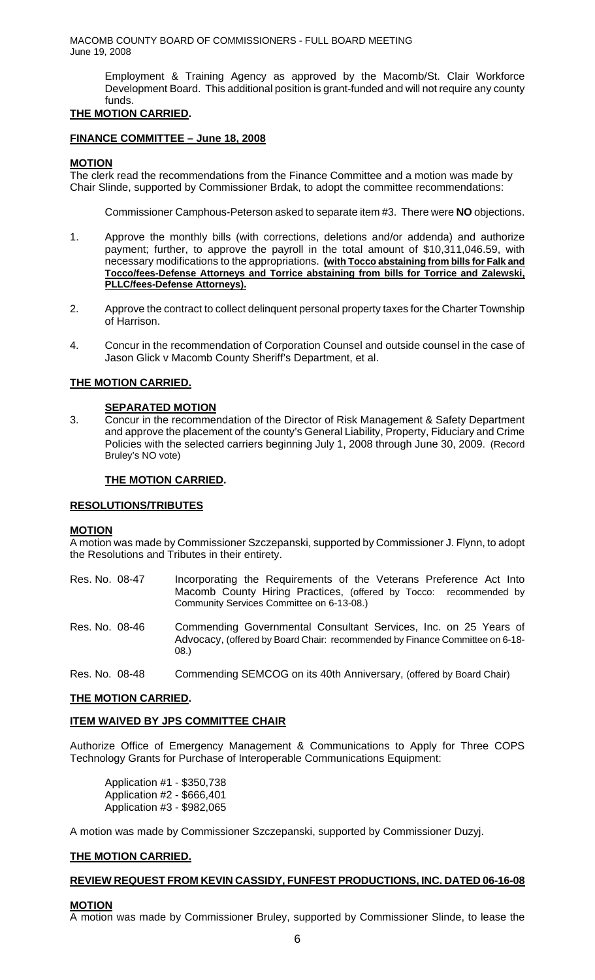MACOMB COUNTY BOARD OF COMMISSIONERS - FULL BOARD MEETING June 19, 2008

> Employment & Training Agency as approved by the Macomb/St. Clair Workforce Development Board. This additional position is grant-funded and will not require any county funds.

# **THE MOTION CARRIED.**

### **FINANCE COMMITTEE – June 18, 2008**

### **MOTION**

The clerk read the recommendations from the Finance Committee and a motion was made by Chair Slinde, supported by Commissioner Brdak, to adopt the committee recommendations:

Commissioner Camphous-Peterson asked to separate item #3. There were **NO** objections.

- 1. Approve the monthly bills (with corrections, deletions and/or addenda) and authorize payment; further, to approve the payroll in the total amount of \$10,311,046.59, with necessary modifications to the appropriations. **(with Tocco abstaining from bills for Falk and Tocco/fees-Defense Attorneys and Torrice abstaining from bills for Torrice and Zalewski, PLLC/fees-Defense Attorneys).**
- 2. Approve the contract to collect delinquent personal property taxes for the Charter Township of Harrison.
- 4. Concur in the recommendation of Corporation Counsel and outside counsel in the case of Jason Glick v Macomb County Sheriff's Department, et al.

## **THE MOTION CARRIED.**

#### **SEPARATED MOTION**

3. Concur in the recommendation of the Director of Risk Management & Safety Department and approve the placement of the county's General Liability, Property, Fiduciary and Crime Policies with the selected carriers beginning July 1, 2008 through June 30, 2009. (Record Bruley's NO vote)

### **THE MOTION CARRIED.**

## **RESOLUTIONS/TRIBUTES**

#### **MOTION**

A motion was made by Commissioner Szczepanski, supported by Commissioner J. Flynn, to adopt the Resolutions and Tributes in their entirety.

- Res. No. 08-47 Incorporating the Requirements of the Veterans Preference Act Into Macomb County Hiring Practices, (offered by Tocco: recommended by Community Services Committee on 6-13-08.)
- Res. No. 08-46 Commending Governmental Consultant Services, Inc. on 25 Years of Advocacy, (offered by Board Chair: recommended by Finance Committee on 6-18- 08.)
- Res. No. 08-48 Commending SEMCOG on its 40th Anniversary, (offered by Board Chair)

#### **THE MOTION CARRIED.**

## **ITEM WAIVED BY JPS COMMITTEE CHAIR**

Authorize Office of Emergency Management & Communications to Apply for Three COPS Technology Grants for Purchase of Interoperable Communications Equipment:

 Application #1 - \$350,738 Application #2 - \$666,401 Application #3 - \$982,065

A motion was made by Commissioner Szczepanski, supported by Commissioner Duzyj.

#### **THE MOTION CARRIED.**

## **REVIEW REQUEST FROM KEVIN CASSIDY, FUNFEST PRODUCTIONS, INC. DATED 06-16-08**

## **MOTION**

A motion was made by Commissioner Bruley, supported by Commissioner Slinde, to lease the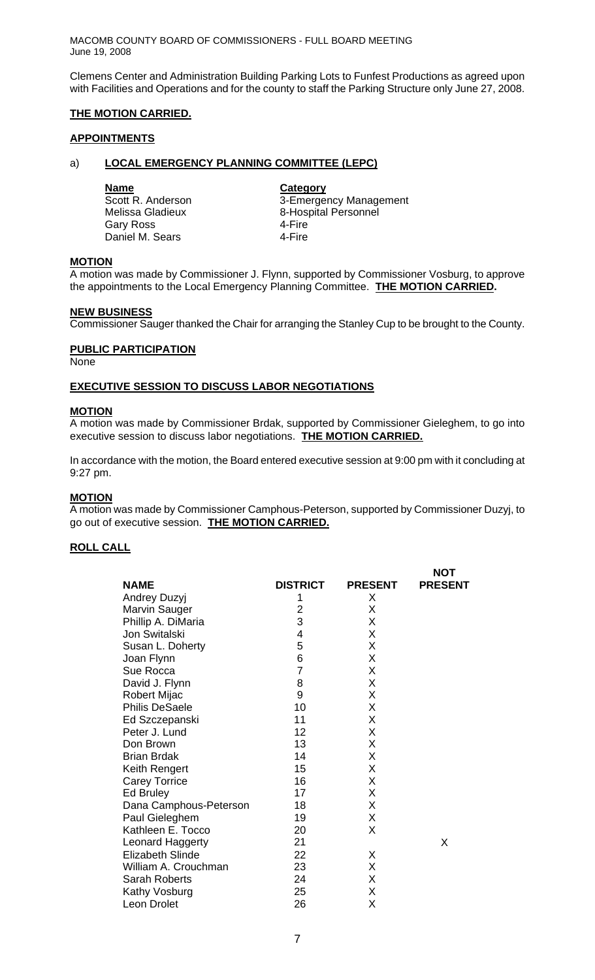MACOMB COUNTY BOARD OF COMMISSIONERS - FULL BOARD MEETING June 19, 2008

Clemens Center and Administration Building Parking Lots to Funfest Productions as agreed upon with Facilities and Operations and for the county to staff the Parking Structure only June 27, 2008.

## **THE MOTION CARRIED.**

#### **APPOINTMENTS**

#### a) **LOCAL EMERGENCY PLANNING COMMITTEE (LEPC)**

**Name**<br> **Scott R. Anderson**<br> **Category**<br> **Category** Gary Ross 1995 - A-Fire<br>Daniel M. Sears 1996 - A-Fire Daniel M. Sears

3-Emergency Management Melissa Gladieux 8-Hospital Personnel

### **MOTION**

A motion was made by Commissioner J. Flynn, supported by Commissioner Vosburg, to approve the appointments to the Local Emergency Planning Committee. **THE MOTION CARRIED.** 

#### **NEW BUSINESS**

Commissioner Sauger thanked the Chair for arranging the Stanley Cup to be brought to the County.

### **PUBLIC PARTICIPATION**

None

# **EXECUTIVE SESSION TO DISCUSS LABOR NEGOTIATIONS**

#### **MOTION**

A motion was made by Commissioner Brdak, supported by Commissioner Gieleghem, to go into executive session to discuss labor negotiations. **THE MOTION CARRIED.**

In accordance with the motion, the Board entered executive session at 9:00 pm with it concluding at 9:27 pm.

### **MOTION**

A motion was made by Commissioner Camphous-Peterson, supported by Commissioner Duzyj, to go out of executive session. **THE MOTION CARRIED.**

## **ROLL CALL**

|                         |                 |                | <b>NOT</b>     |
|-------------------------|-----------------|----------------|----------------|
| NAME                    | <b>DISTRICT</b> | <b>PRESENT</b> | <b>PRESENT</b> |
| Andrey Duzyj            | 1               | X              |                |
| Marvin Sauger           | $\overline{2}$  | X              |                |
| Phillip A. DiMaria      | 3               | X              |                |
| Jon Switalski           | 4               | X              |                |
| Susan L. Doherty        | 5               | X              |                |
| Joan Flynn              | 6               | X              |                |
| Sue Rocca               | $\overline{7}$  | X              |                |
| David J. Flynn          | 8               | X              |                |
| Robert Mijac            | 9               | X              |                |
| <b>Philis DeSaele</b>   | 10              | X              |                |
| Ed Szczepanski          | 11              | X              |                |
| Peter J. Lund           | 12              | X              |                |
| Don Brown               | 13              | X              |                |
| Brian Brdak             | 14              | X              |                |
| Keith Rengert           | 15              | X              |                |
| Carey Torrice           | 16              | X              |                |
| Ed Bruley               | 17              | X              |                |
| Dana Camphous-Peterson  | 18              | X              |                |
| Paul Gieleghem          | 19              | X              |                |
| Kathleen E. Tocco       | 20              | X              |                |
| Leonard Haggerty        | 21              |                | X              |
| <b>Elizabeth Slinde</b> | 22              | X              |                |
| William A. Crouchman    | 23              | X              |                |
| Sarah Roberts           | 24              | X              |                |
| Kathy Vosburg           | 25              | X              |                |
| Leon Drolet             | 26              | X              |                |